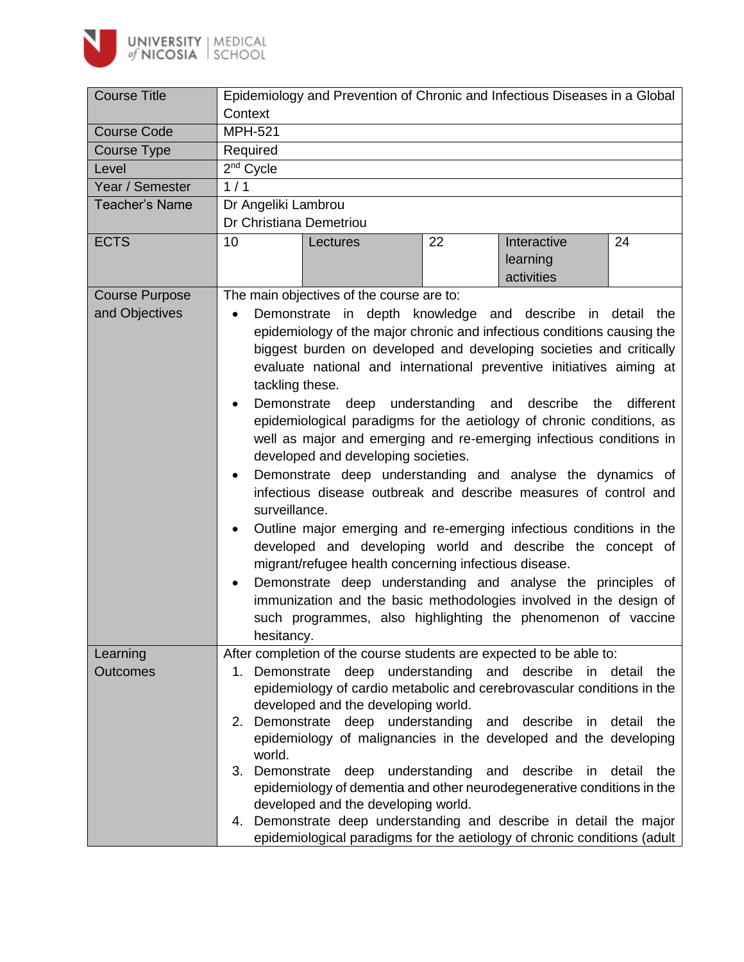

| <b>Course Title</b>   | Epidemiology and Prevention of Chronic and Infectious Diseases in a Global                                                                                                                                                                                                                                                                                                                                                                                                                                                                                                                                                                                                                                                                                                                                                                                                                                                                                                                                                                                                                                                                                                                |  |  |  |  |  |  |
|-----------------------|-------------------------------------------------------------------------------------------------------------------------------------------------------------------------------------------------------------------------------------------------------------------------------------------------------------------------------------------------------------------------------------------------------------------------------------------------------------------------------------------------------------------------------------------------------------------------------------------------------------------------------------------------------------------------------------------------------------------------------------------------------------------------------------------------------------------------------------------------------------------------------------------------------------------------------------------------------------------------------------------------------------------------------------------------------------------------------------------------------------------------------------------------------------------------------------------|--|--|--|--|--|--|
|                       | Context                                                                                                                                                                                                                                                                                                                                                                                                                                                                                                                                                                                                                                                                                                                                                                                                                                                                                                                                                                                                                                                                                                                                                                                   |  |  |  |  |  |  |
| <b>Course Code</b>    | <b>MPH-521</b>                                                                                                                                                                                                                                                                                                                                                                                                                                                                                                                                                                                                                                                                                                                                                                                                                                                                                                                                                                                                                                                                                                                                                                            |  |  |  |  |  |  |
| Course Type           | Required                                                                                                                                                                                                                                                                                                                                                                                                                                                                                                                                                                                                                                                                                                                                                                                                                                                                                                                                                                                                                                                                                                                                                                                  |  |  |  |  |  |  |
| Level                 | 2 <sup>nd</sup> Cycle                                                                                                                                                                                                                                                                                                                                                                                                                                                                                                                                                                                                                                                                                                                                                                                                                                                                                                                                                                                                                                                                                                                                                                     |  |  |  |  |  |  |
| Year / Semester       | 1/1                                                                                                                                                                                                                                                                                                                                                                                                                                                                                                                                                                                                                                                                                                                                                                                                                                                                                                                                                                                                                                                                                                                                                                                       |  |  |  |  |  |  |
| <b>Teacher's Name</b> | Dr Angeliki Lambrou<br>Dr Christiana Demetriou                                                                                                                                                                                                                                                                                                                                                                                                                                                                                                                                                                                                                                                                                                                                                                                                                                                                                                                                                                                                                                                                                                                                            |  |  |  |  |  |  |
|                       |                                                                                                                                                                                                                                                                                                                                                                                                                                                                                                                                                                                                                                                                                                                                                                                                                                                                                                                                                                                                                                                                                                                                                                                           |  |  |  |  |  |  |
| <b>ECTS</b>           | 10<br>22<br>Interactive<br>24<br>Lectures                                                                                                                                                                                                                                                                                                                                                                                                                                                                                                                                                                                                                                                                                                                                                                                                                                                                                                                                                                                                                                                                                                                                                 |  |  |  |  |  |  |
|                       | learning                                                                                                                                                                                                                                                                                                                                                                                                                                                                                                                                                                                                                                                                                                                                                                                                                                                                                                                                                                                                                                                                                                                                                                                  |  |  |  |  |  |  |
|                       | activities                                                                                                                                                                                                                                                                                                                                                                                                                                                                                                                                                                                                                                                                                                                                                                                                                                                                                                                                                                                                                                                                                                                                                                                |  |  |  |  |  |  |
| <b>Course Purpose</b> | The main objectives of the course are to:                                                                                                                                                                                                                                                                                                                                                                                                                                                                                                                                                                                                                                                                                                                                                                                                                                                                                                                                                                                                                                                                                                                                                 |  |  |  |  |  |  |
| and Objectives        | Demonstrate in depth knowledge and describe in detail the<br>$\bullet$<br>epidemiology of the major chronic and infectious conditions causing the<br>biggest burden on developed and developing societies and critically<br>evaluate national and international preventive initiatives aiming at<br>tackling these.<br>Demonstrate deep understanding and describe<br>different<br>the<br>epidemiological paradigms for the aetiology of chronic conditions, as<br>well as major and emerging and re-emerging infectious conditions in<br>developed and developing societies.<br>Demonstrate deep understanding and analyse the dynamics of<br>$\bullet$<br>infectious disease outbreak and describe measures of control and<br>surveillance.<br>Outline major emerging and re-emerging infectious conditions in the<br>$\bullet$<br>developed and developing world and describe the concept of<br>migrant/refugee health concerning infectious disease.<br>Demonstrate deep understanding and analyse the principles of<br>$\bullet$<br>immunization and the basic methodologies involved in the design of<br>such programmes, also highlighting the phenomenon of vaccine<br>hesitancy. |  |  |  |  |  |  |
| Learning              | After completion of the course students are expected to be able to:                                                                                                                                                                                                                                                                                                                                                                                                                                                                                                                                                                                                                                                                                                                                                                                                                                                                                                                                                                                                                                                                                                                       |  |  |  |  |  |  |
| <b>Outcomes</b>       | 1. Demonstrate deep understanding and describe in detail the<br>epidemiology of cardio metabolic and cerebrovascular conditions in the<br>developed and the developing world.<br>2. Demonstrate deep understanding and describe in detail the<br>epidemiology of malignancies in the developed and the developing<br>world.<br>3. Demonstrate deep understanding and<br>describe<br>detail<br>the<br>in<br>epidemiology of dementia and other neurodegenerative conditions in the<br>developed and the developing world.<br>Demonstrate deep understanding and describe in detail the major<br>4.<br>epidemiological paradigms for the aetiology of chronic conditions (adult                                                                                                                                                                                                                                                                                                                                                                                                                                                                                                             |  |  |  |  |  |  |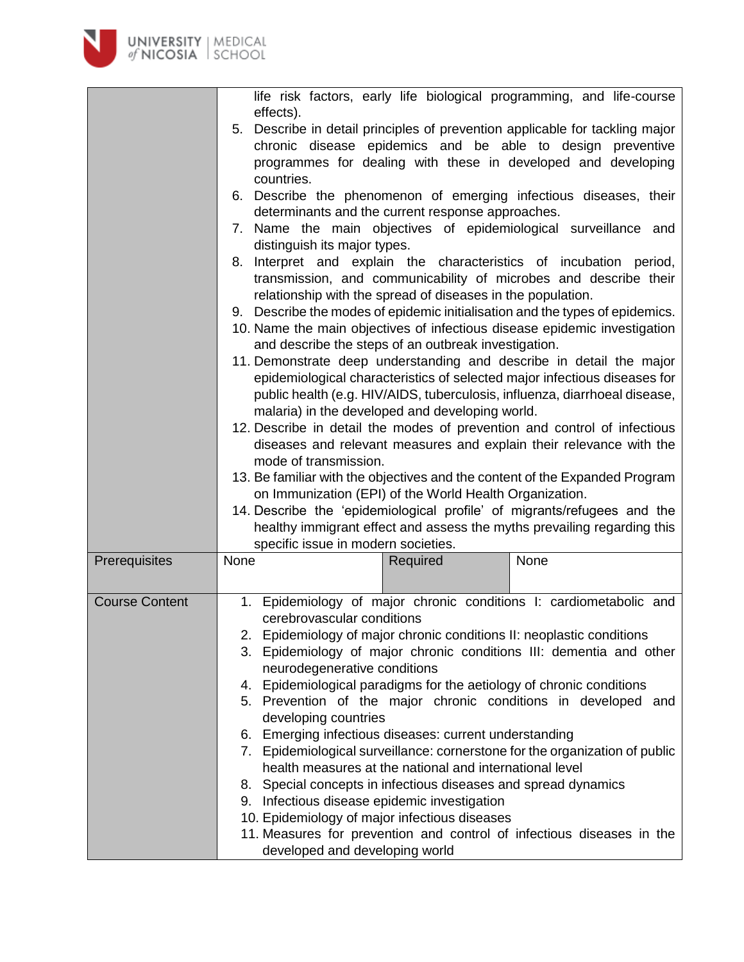

|                       | life risk factors, early life biological programming, and life-course                                                                                                                                                                                                                                                                                                                                                                                                                                                                                                                                                                                                                                                                                                                                                                                                                                                                                                                                                                                                                                                                                                                                                                                                                                                                                                                                                                                                                                                                                                                   |  |  |  |  |  |
|-----------------------|-----------------------------------------------------------------------------------------------------------------------------------------------------------------------------------------------------------------------------------------------------------------------------------------------------------------------------------------------------------------------------------------------------------------------------------------------------------------------------------------------------------------------------------------------------------------------------------------------------------------------------------------------------------------------------------------------------------------------------------------------------------------------------------------------------------------------------------------------------------------------------------------------------------------------------------------------------------------------------------------------------------------------------------------------------------------------------------------------------------------------------------------------------------------------------------------------------------------------------------------------------------------------------------------------------------------------------------------------------------------------------------------------------------------------------------------------------------------------------------------------------------------------------------------------------------------------------------------|--|--|--|--|--|
|                       | effects).<br>5. Describe in detail principles of prevention applicable for tackling major<br>chronic disease epidemics and be able to design preventive<br>programmes for dealing with these in developed and developing<br>countries.<br>6. Describe the phenomenon of emerging infectious diseases, their<br>determinants and the current response approaches.<br>7. Name the main objectives of epidemiological surveillance and<br>distinguish its major types.<br>8. Interpret and explain the characteristics of incubation period,<br>transmission, and communicability of microbes and describe their<br>relationship with the spread of diseases in the population.<br>9. Describe the modes of epidemic initialisation and the types of epidemics.<br>10. Name the main objectives of infectious disease epidemic investigation<br>and describe the steps of an outbreak investigation.<br>11. Demonstrate deep understanding and describe in detail the major<br>epidemiological characteristics of selected major infectious diseases for<br>public health (e.g. HIV/AIDS, tuberculosis, influenza, diarrhoeal disease,<br>malaria) in the developed and developing world.<br>12. Describe in detail the modes of prevention and control of infectious<br>diseases and relevant measures and explain their relevance with the<br>mode of transmission.<br>13. Be familiar with the objectives and the content of the Expanded Program<br>on Immunization (EPI) of the World Health Organization.<br>14. Describe the 'epidemiological profile' of migrants/refugees and the |  |  |  |  |  |
|                       | healthy immigrant effect and assess the myths prevailing regarding this<br>specific issue in modern societies.                                                                                                                                                                                                                                                                                                                                                                                                                                                                                                                                                                                                                                                                                                                                                                                                                                                                                                                                                                                                                                                                                                                                                                                                                                                                                                                                                                                                                                                                          |  |  |  |  |  |
| Prerequisites         | None<br>None<br>Required                                                                                                                                                                                                                                                                                                                                                                                                                                                                                                                                                                                                                                                                                                                                                                                                                                                                                                                                                                                                                                                                                                                                                                                                                                                                                                                                                                                                                                                                                                                                                                |  |  |  |  |  |
| <b>Course Content</b> | 1. Epidemiology of major chronic conditions I: cardiometabolic and<br>cerebrovascular conditions<br>2. Epidemiology of major chronic conditions II: neoplastic conditions<br>3. Epidemiology of major chronic conditions III: dementia and other<br>neurodegenerative conditions<br>4. Epidemiological paradigms for the aetiology of chronic conditions<br>5. Prevention of the major chronic conditions in developed and<br>developing countries<br>6. Emerging infectious diseases: current understanding<br>7. Epidemiological surveillance: cornerstone for the organization of public<br>health measures at the national and international level<br>8. Special concepts in infectious diseases and spread dynamics<br>9. Infectious disease epidemic investigation<br>10. Epidemiology of major infectious diseases<br>11. Measures for prevention and control of infectious diseases in the<br>developed and developing world                                                                                                                                                                                                                                                                                                                                                                                                                                                                                                                                                                                                                                                    |  |  |  |  |  |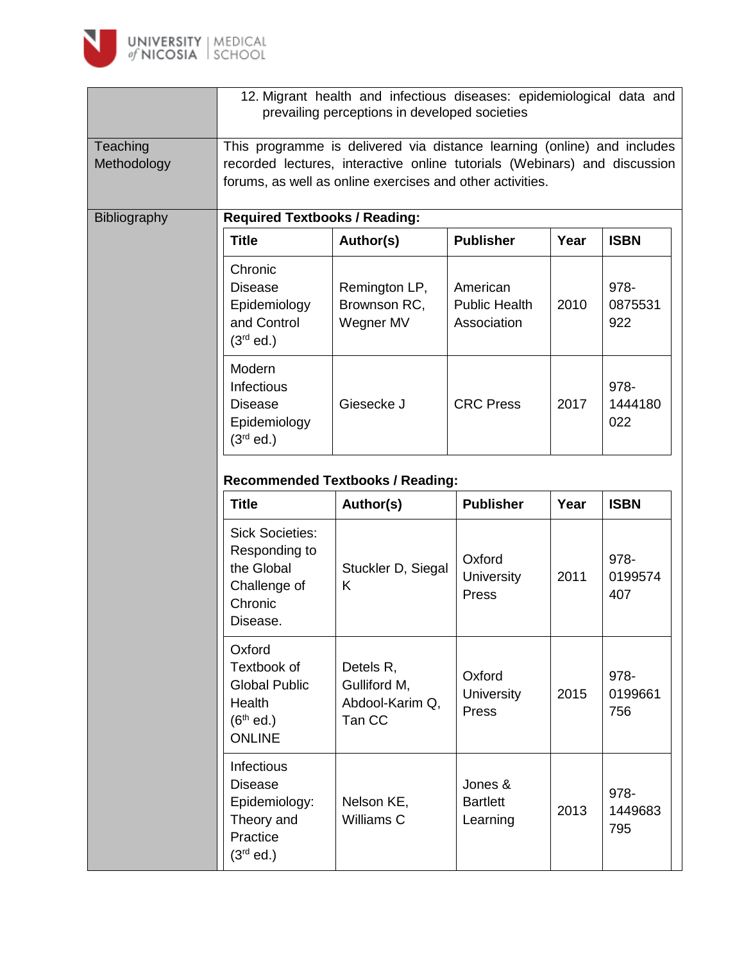

|                         | 12. Migrant health and infectious diseases: epidemiological data and<br>prevailing perceptions in developed societies                                                                                             |                                                        |                                                 |      |                        |  |  |
|-------------------------|-------------------------------------------------------------------------------------------------------------------------------------------------------------------------------------------------------------------|--------------------------------------------------------|-------------------------------------------------|------|------------------------|--|--|
| Teaching<br>Methodology | This programme is delivered via distance learning (online) and includes<br>recorded lectures, interactive online tutorials (Webinars) and discussion<br>forums, as well as online exercises and other activities. |                                                        |                                                 |      |                        |  |  |
| Bibliography            | <b>Required Textbooks / Reading:</b>                                                                                                                                                                              |                                                        |                                                 |      |                        |  |  |
|                         | <b>Title</b>                                                                                                                                                                                                      | Author(s)                                              | <b>Publisher</b>                                | Year | <b>ISBN</b>            |  |  |
|                         | Chronic<br><b>Disease</b><br>Epidemiology<br>and Control<br>$(3rd$ ed.)                                                                                                                                           | Remington LP,<br>Brownson RC,<br>Wegner MV             | American<br><b>Public Health</b><br>Association | 2010 | 978-<br>0875531<br>922 |  |  |
|                         | Modern<br>Infectious<br><b>Disease</b><br>Epidemiology<br>$(3rd$ ed.)                                                                                                                                             | Giesecke J                                             | <b>CRC Press</b>                                | 2017 | 978-<br>1444180<br>022 |  |  |
|                         | <b>Recommended Textbooks / Reading:</b>                                                                                                                                                                           |                                                        |                                                 |      |                        |  |  |
|                         | <b>Title</b>                                                                                                                                                                                                      | Author(s)                                              | <b>Publisher</b>                                | Year | <b>ISBN</b>            |  |  |
|                         | <b>Sick Societies:</b><br>Responding to<br>the Global<br>Challenge of<br>Chronic<br>Disease.                                                                                                                      | Stuckler D, Siegal<br>K                                | Oxford<br>University<br>Press                   | 2011 | 978-<br>0199574<br>407 |  |  |
|                         | Oxford<br>Textbook of<br><b>Global Public</b><br>Health<br>$(6th$ ed.)<br><b>ONLINE</b>                                                                                                                           | Detels R,<br>Gulliford M,<br>Abdool-Karim Q,<br>Tan CC | Oxford<br><b>University</b><br>Press            | 2015 | 978-<br>0199661<br>756 |  |  |
|                         | Infectious<br><b>Disease</b><br>Epidemiology:<br>Theory and<br>Practice<br>$(3rd$ ed.)                                                                                                                            | Nelson KE,<br>Williams C                               | Jones &<br><b>Bartlett</b><br>Learning          | 2013 | 978-<br>1449683<br>795 |  |  |